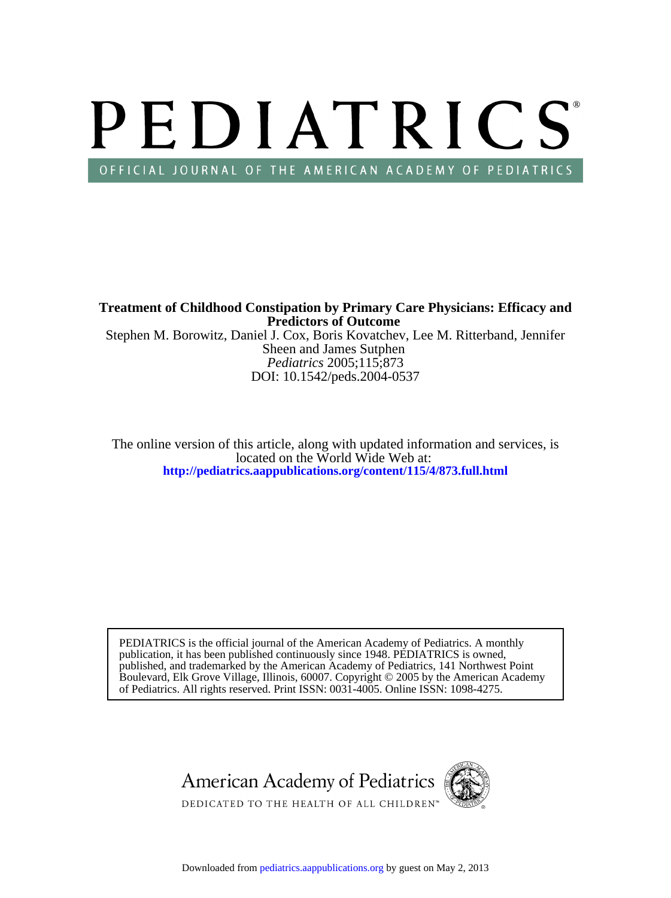# PEDIATRICS OFFICIAL JOURNAL OF THE AMERICAN ACADEMY OF PEDIATRICS

Sheen and James Sutphen Stephen M. Borowitz, Daniel J. Cox, Boris Kovatchev, Lee M. Ritterband, Jennifer **Predictors of Outcome Treatment of Childhood Constipation by Primary Care Physicians: Efficacy and**

DOI: 10.1542/peds.2004-0537 *Pediatrics* 2005;115;873

**<http://pediatrics.aappublications.org/content/115/4/873.full.html>** located on the World Wide Web at: The online version of this article, along with updated information and services, is

of Pediatrics. All rights reserved. Print ISSN: 0031-4005. Online ISSN: 1098-4275. Boulevard, Elk Grove Village, Illinois, 60007. Copyright © 2005 by the American Academy published, and trademarked by the American Academy of Pediatrics, 141 Northwest Point publication, it has been published continuously since 1948. PEDIATRICS is owned, PEDIATRICS is the official journal of the American Academy of Pediatrics. A monthly

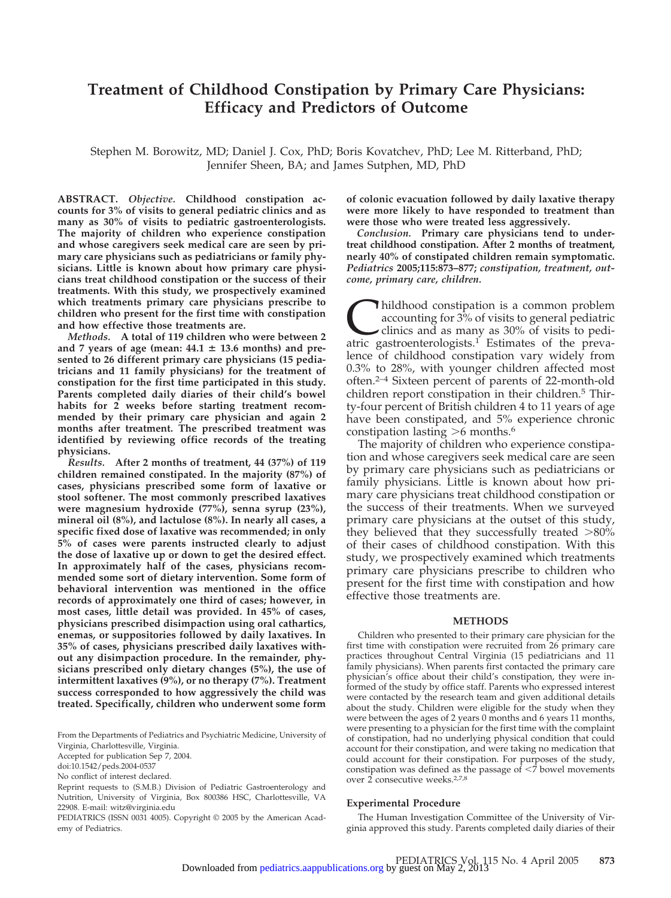## **Treatment of Childhood Constipation by Primary Care Physicians: Efficacy and Predictors of Outcome**

Stephen M. Borowitz, MD; Daniel J. Cox, PhD; Boris Kovatchev, PhD; Lee M. Ritterband, PhD; Jennifer Sheen, BA; and James Sutphen, MD, PhD

**ABSTRACT.** *Objective.* **Childhood constipation accounts for 3% of visits to general pediatric clinics and as many as 30% of visits to pediatric gastroenterologists. The majority of children who experience constipation and whose caregivers seek medical care are seen by primary care physicians such as pediatricians or family physicians. Little is known about how primary care physicians treat childhood constipation or the success of their treatments. With this study, we prospectively examined which treatments primary care physicians prescribe to children who present for the first time with constipation and how effective those treatments are.**

*Methods.* **A total of 119 children who were between 2** and 7 years of age (mean:  $44.1 \pm 13.6$  months) and pre**sented to 26 different primary care physicians (15 pediatricians and 11 family physicians) for the treatment of constipation for the first time participated in this study. Parents completed daily diaries of their child's bowel habits for 2 weeks before starting treatment recommended by their primary care physician and again 2 months after treatment. The prescribed treatment was identified by reviewing office records of the treating physicians.**

*Results.* **After 2 months of treatment, 44 (37%) of 119 children remained constipated. In the majority (87%) of cases, physicians prescribed some form of laxative or stool softener. The most commonly prescribed laxatives were magnesium hydroxide (77%), senna syrup (23%), mineral oil (8%), and lactulose (8%). In nearly all cases, a specific fixed dose of laxative was recommended; in only 5% of cases were parents instructed clearly to adjust the dose of laxative up or down to get the desired effect. In approximately half of the cases, physicians recommended some sort of dietary intervention. Some form of behavioral intervention was mentioned in the office records of approximately one third of cases; however, in most cases, little detail was provided. In 45% of cases, physicians prescribed disimpaction using oral cathartics, enemas, or suppositories followed by daily laxatives. In 35% of cases, physicians prescribed daily laxatives without any disimpaction procedure. In the remainder, physicians prescribed only dietary changes (5%), the use of intermittent laxatives (9%), or no therapy (7%). Treatment success corresponded to how aggressively the child was treated. Specifically, children who underwent some form**

From the Departments of Pediatrics and Psychiatric Medicine, University of Virginia, Charlottesville, Virginia.

Accepted for publication Sep 7, 2004.

doi:10.1542/peds.2004-0537

No conflict of interest declared.

Reprint requests to (S.M.B.) Division of Pediatric Gastroenterology and Nutrition, University of Virginia, Box 800386 HSC, Charlottesville, VA 22908. E-mail: witz@virginia.edu

PEDIATRICS (ISSN 0031 4005). Copyright © 2005 by the American Academy of Pediatrics.

**of colonic evacuation followed by daily laxative therapy were more likely to have responded to treatment than were those who were treated less aggressively.**

*Conclusion.* **Primary care physicians tend to undertreat childhood constipation. After 2 months of treatment, nearly 40% of constipated children remain symptomatic.** *Pediatrics* **2005;115:873–877;** *constipation, treatment, outcome, primary care, children.*

Inildhood constipation is a common problem accounting for 3% of visits to general pediatric clinics and as many as 30% of visits to pediatric gastroenterologists.<sup>1</sup> Estimates of the prevaaccounting for 3% of visits to general pediatric clinics and as many as 30% of visits to pedilence of childhood constipation vary widely from 0.3% to 28%, with younger children affected most often.2–4 Sixteen percent of parents of 22-month-old children report constipation in their children.<sup>5</sup> Thirty-four percent of British children 4 to 11 years of age have been constipated, and 5% experience chronic constipation lasting  $>6$  months.<sup>6</sup>

The majority of children who experience constipation and whose caregivers seek medical care are seen by primary care physicians such as pediatricians or family physicians. Little is known about how primary care physicians treat childhood constipation or the success of their treatments. When we surveyed primary care physicians at the outset of this study, they believed that they successfully treated  $>80\%$ of their cases of childhood constipation. With this study, we prospectively examined which treatments primary care physicians prescribe to children who present for the first time with constipation and how effective those treatments are.

#### **METHODS**

Children who presented to their primary care physician for the first time with constipation were recruited from 26 primary care practices throughout Central Virginia (15 pediatricians and 11 family physicians). When parents first contacted the primary care physician's office about their child's constipation, they were informed of the study by office staff. Parents who expressed interest were contacted by the research team and given additional details about the study. Children were eligible for the study when they were between the ages of 2 years 0 months and 6 years 11 months, were presenting to a physician for the first time with the complaint of constipation, had no underlying physical condition that could account for their constipation, and were taking no medication that could account for their constipation. For purposes of the study, constipation was defined as the passage of  $\leq$ 7 bowel movements over 2 consecutive weeks.2,7,8

#### **Experimental Procedure**

The Human Investigation Committee of the University of Virginia approved this study. Parents completed daily diaries of their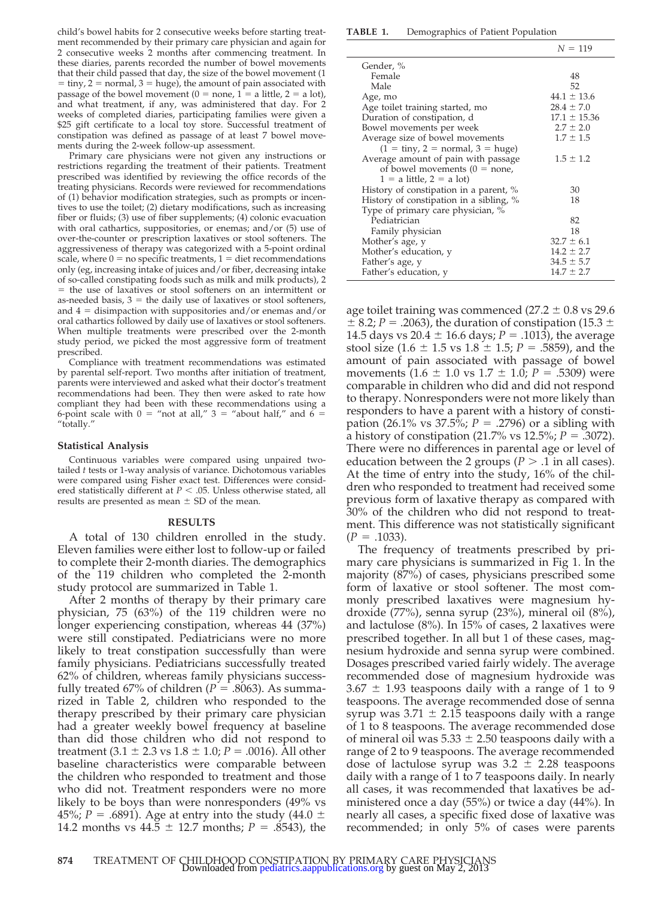child's bowel habits for 2 consecutive weeks before starting treatment recommended by their primary care physician and again for 2 consecutive weeks 2 months after commencing treatment. In these diaries, parents recorded the number of bowel movements that their child passed that day, the size of the bowel movement (1  $t = \text{tiny}, 2 = \text{normal}, 3 = \text{huge}$ , the amount of pain associated with passage of the bowel movement ( $0 =$  none,  $1 =$  a little,  $2 =$  a lot), and what treatment, if any, was administered that day. For 2 weeks of completed diaries, participating families were given a \$25 gift certificate to a local toy store. Successful treatment of constipation was defined as passage of at least 7 bowel movements during the 2-week follow-up assessment.

Primary care physicians were not given any instructions or restrictions regarding the treatment of their patients. Treatment prescribed was identified by reviewing the office records of the treating physicians. Records were reviewed for recommendations of (1) behavior modification strategies, such as prompts or incentives to use the toilet; (2) dietary modifications, such as increasing fiber or fluids; (3) use of fiber supplements; (4) colonic evacuation with oral cathartics, suppositories, or enemas; and/or (5) use of over-the-counter or prescription laxatives or stool softeners. The aggressiveness of therapy was categorized with a 5-point ordinal scale, where  $0 =$  no specific treatments,  $1 =$  diet recommendations only (eg, increasing intake of juices and/or fiber, decreasing intake of so-called constipating foods such as milk and milk products), 2 = the use of laxatives or stool softeners on an intermittent or as-needed basis,  $3 =$  the daily use of laxatives or stool softeners, and  $4 =$  disimpaction with suppositories and/or enemas and/or oral cathartics followed by daily use of laxatives or stool softeners. When multiple treatments were prescribed over the 2-month study period, we picked the most aggressive form of treatment prescribed.

Compliance with treatment recommendations was estimated by parental self-report. Two months after initiation of treatment, parents were interviewed and asked what their doctor's treatment recommendations had been. They then were asked to rate how compliant they had been with these recommendations using a 6-point scale with  $0 =$  "not at all,"  $3 =$  "about half," and  $6 =$ "totally."

#### **Statistical Analysis**

Continuous variables were compared using unpaired twotailed *t* tests or 1-way analysis of variance. Dichotomous variables were compared using Fisher exact test. Differences were considered statistically different at  $P < .05$ . Unless otherwise stated, all results are presented as mean  $\pm$  SD of the mean.

#### **RESULTS**

A total of 130 children enrolled in the study. Eleven families were either lost to follow-up or failed to complete their 2-month diaries. The demographics of the 119 children who completed the 2-month study protocol are summarized in Table 1.

After 2 months of therapy by their primary care physician, 75 (63%) of the 119 children were no longer experiencing constipation, whereas 44 (37%) were still constipated. Pediatricians were no more likely to treat constipation successfully than were family physicians. Pediatricians successfully treated 62% of children, whereas family physicians successfully treated 67% of children ( $P = .8063$ ). As summarized in Table 2, children who responded to the therapy prescribed by their primary care physician had a greater weekly bowel frequency at baseline than did those children who did not respond to treatment  $(3.1 \pm 2.3 \text{ vs } 1.8 \pm 1.0; P = .0016)$ . All other baseline characteristics were comparable between the children who responded to treatment and those who did not. Treatment responders were no more likely to be boys than were nonresponders (49% vs 45%; *P* = .6891). Age at entry into the study (44.0  $\pm$ 14.2 months vs  $44.5 \pm 12.7$  months;  $P = .8543$ ), the

**TABLE 1.** Demographics of Patient Population

|                                                         | $N = 119$        |
|---------------------------------------------------------|------------------|
| Gender, %                                               |                  |
| Female                                                  | 48               |
| Male                                                    | 52               |
| Age, mo                                                 | $44.1 \pm 13.6$  |
| Age toilet training started, mo                         | $28.4 \pm 7.0$   |
| Duration of constipation, d                             | $17.1 \pm 15.36$ |
| Bowel movements per week                                | $2.7 \pm 2.0$    |
| Average size of bowel movements                         | $1.7 \pm 1.5$    |
| $(1 = \text{tiny}, 2 = \text{normal}, 3 = \text{huge})$ |                  |
| Average amount of pain with passage                     | $1.5 \pm 1.2$    |
| of bowel movements $(0 = none,$                         |                  |
| $1 = a$ little, $2 = a$ lot)                            |                  |
| History of constipation in a parent, %                  | 30               |
| History of constipation in a sibling, %                 | 18               |
| Type of primary care physician, %                       |                  |
| Pediatrician                                            | 82               |
| Family physician                                        | 18               |
| Mother's age, y                                         | $32.7 \pm 6.1$   |
| Mother's education, y                                   | $14.2 \pm 2.7$   |
| Father's age, y                                         | $34.5 \pm 5.7$   |
| Father's education, y                                   | $14.7 \pm 2.7$   |

age toilet training was commenced  $(27.2 \pm 0.8 \text{ vs } 29.6)$  $\pm$  8.2; *P* = .2063), the duration of constipation (15.3  $\pm$ 14.5 days vs 20.4  $\pm$  16.6 days; *P* = .1013), the average stool size  $(1.6 \pm 1.5 \text{ vs } 1.8 \pm 1.5; P = .5859)$ , and the amount of pain associated with passage of bowel movements  $(1.6 \pm 1.0 \text{ vs } 1.7 \pm 1.0; P = .5309)$  were comparable in children who did and did not respond to therapy. Nonresponders were not more likely than responders to have a parent with a history of constipation (26.1% vs 37.5%;  $P = .2796$ ) or a sibling with a history of constipation (21.7% vs 12.5%;  $P = .3072$ ). There were no differences in parental age or level of education between the 2 groups ( $P > 0.1$  in all cases). At the time of entry into the study, 16% of the children who responded to treatment had received some previous form of laxative therapy as compared with 30% of the children who did not respond to treatment. This difference was not statistically significant  $(P = .1033)$ .

The frequency of treatments prescribed by primary care physicians is summarized in Fig 1. In the majority (87%) of cases, physicians prescribed some form of laxative or stool softener. The most commonly prescribed laxatives were magnesium hydroxide (77%), senna syrup (23%), mineral oil (8%), and lactulose (8%). In 15% of cases, 2 laxatives were prescribed together. In all but 1 of these cases, magnesium hydroxide and senna syrup were combined. Dosages prescribed varied fairly widely. The average recommended dose of magnesium hydroxide was  $3.67 \pm 1.93$  teaspoons daily with a range of 1 to 9 teaspoons. The average recommended dose of senna syrup was  $3.71 \pm 2.15$  teaspoons daily with a range of 1 to 8 teaspoons. The average recommended dose of mineral oil was  $5.33 \pm 2.50$  teaspoons daily with a range of 2 to 9 teaspoons. The average recommended dose of lactulose syrup was  $3.2 \pm 2.28$  teaspoons daily with a range of 1 to 7 teaspoons daily. In nearly all cases, it was recommended that laxatives be administered once a day (55%) or twice a day (44%). In nearly all cases, a specific fixed dose of laxative was recommended; in only 5% of cases were parents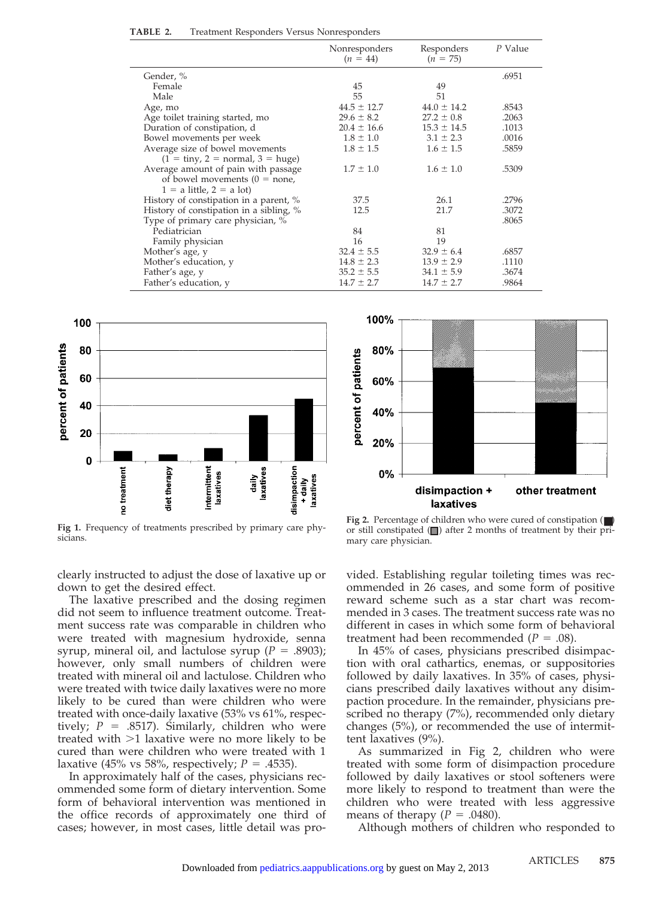| TABLE 2.<br>Treatment Responders Versus Nonresponders |
|-------------------------------------------------------|
|-------------------------------------------------------|

|                                                                 | Nonresponders<br>$(n = 44)$ | Responders<br>$(n = 75)$ | P Value |
|-----------------------------------------------------------------|-----------------------------|--------------------------|---------|
| Gender, %                                                       |                             |                          | .6951   |
| Female                                                          | 45                          | 49                       |         |
| Male                                                            | 55                          | 51                       |         |
| Age, mo                                                         | $44.5 \pm 12.7$             | $44.0 \pm 14.2$          | .8543   |
| Age toilet training started, mo                                 | $29.6 \pm 8.2$              | $27.2 \pm 0.8$           | .2063   |
| Duration of constipation, d                                     | $20.4 \pm 16.6$             | $15.3 \pm 14.5$          | .1013   |
| Bowel movements per week                                        | $1.8 \pm 1.0$               | $3.1 \pm 2.3$            | .0016   |
| Average size of bowel movements                                 | $1.8 \pm 1.5$               | $1.6 \pm 1.5$            | .5859   |
| $(1 = \text{tiny}, 2 = \text{normal}, 3 = \text{huge})$         |                             |                          |         |
| Average amount of pain with passage                             | $1.7 \pm 1.0$               | $1.6 \pm 1.0$            | .5309   |
| of bowel movements $(0 = none,$<br>$1 = a$ little, $2 = a$ lot) |                             |                          |         |
| History of constipation in a parent, %                          | 37.5                        | 26.1                     | .2796   |
| History of constipation in a sibling, %                         | 12.5                        | 21.7                     | .3072   |
| Type of primary care physician, %                               |                             |                          | .8065   |
| Pediatrician                                                    | 84                          | 81                       |         |
| Family physician                                                | 16                          | 19                       |         |
| Mother's age, y                                                 | $32.4 \pm 5.5$              | $32.9 \pm 6.4$           | .6857   |
| Mother's education, y                                           | $14.8 \pm 2.3$              | $13.9 \pm 2.9$           | .1110   |
| Father's age, y                                                 | $35.2 \pm 5.5$              | $34.1 \pm 5.9$           | .3674   |
| Father's education, y                                           | $14.7 \pm 2.7$              | $14.7 \pm 2.7$           | .9864   |



**Fig 1.** Frequency of treatments prescribed by primary care physicians.



**Fig 2.** Percentage of children who were cured of constipation (■) or still constipated  $\Box$ ) after 2 months of treatment by their primary care physician.

clearly instructed to adjust the dose of laxative up or down to get the desired effect.

The laxative prescribed and the dosing regimen did not seem to influence treatment outcome. Treatment success rate was comparable in children who were treated with magnesium hydroxide, senna syrup, mineral oil, and lactulose syrup  $(P = .8903)$ ; however, only small numbers of children were treated with mineral oil and lactulose. Children who were treated with twice daily laxatives were no more likely to be cured than were children who were treated with once-daily laxative (53% vs 61%, respectively;  $P = .8517$ ). Similarly, children who were treated with  $>1$  laxative were no more likely to be cured than were children who were treated with 1 laxative (45% vs 58%, respectively;  $P = .4535$ ).

In approximately half of the cases, physicians recommended some form of dietary intervention. Some form of behavioral intervention was mentioned in the office records of approximately one third of cases; however, in most cases, little detail was provided. Establishing regular toileting times was recommended in 26 cases, and some form of positive reward scheme such as a star chart was recommended in 3 cases. The treatment success rate was no different in cases in which some form of behavioral treatment had been recommended  $(P = .08)$ .

In 45% of cases, physicians prescribed disimpaction with oral cathartics, enemas, or suppositories followed by daily laxatives. In 35% of cases, physicians prescribed daily laxatives without any disimpaction procedure. In the remainder, physicians prescribed no therapy (7%), recommended only dietary changes (5%), or recommended the use of intermittent laxatives (9%).

As summarized in Fig 2, children who were treated with some form of disimpaction procedure followed by daily laxatives or stool softeners were more likely to respond to treatment than were the children who were treated with less aggressive means of therapy  $(P = .0480)$ .

Although mothers of children who responded to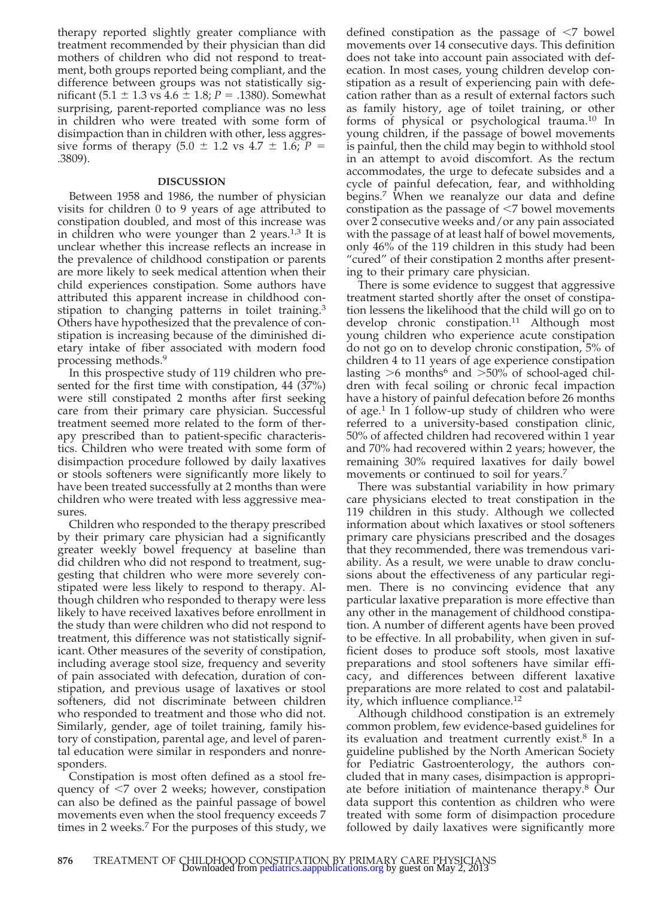therapy reported slightly greater compliance with treatment recommended by their physician than did mothers of children who did not respond to treatment, both groups reported being compliant, and the difference between groups was not statistically significant  $(5.1 \pm 1.3 \text{ vs } 4.6 \pm 1.8; P = .1380)$ . Somewhat surprising, parent-reported compliance was no less in children who were treated with some form of disimpaction than in children with other, less aggressive forms of therapy  $(5.0 \pm 1.2 \text{ vs } 4.7 \pm 1.6; P =$ .3809).

#### **DISCUSSION**

Between 1958 and 1986, the number of physician visits for children 0 to 9 years of age attributed to constipation doubled, and most of this increase was in children who were younger than 2 years. $1,3$  It is unclear whether this increase reflects an increase in the prevalence of childhood constipation or parents are more likely to seek medical attention when their child experiences constipation. Some authors have attributed this apparent increase in childhood constipation to changing patterns in toilet training.<sup>3</sup> Others have hypothesized that the prevalence of constipation is increasing because of the diminished dietary intake of fiber associated with modern food processing methods.9

In this prospective study of 119 children who presented for the first time with constipation, 44 (37%) were still constipated 2 months after first seeking care from their primary care physician. Successful treatment seemed more related to the form of therapy prescribed than to patient-specific characteristics. Children who were treated with some form of disimpaction procedure followed by daily laxatives or stools softeners were significantly more likely to have been treated successfully at 2 months than were children who were treated with less aggressive measures.

Children who responded to the therapy prescribed by their primary care physician had a significantly greater weekly bowel frequency at baseline than did children who did not respond to treatment, suggesting that children who were more severely constipated were less likely to respond to therapy. Although children who responded to therapy were less likely to have received laxatives before enrollment in the study than were children who did not respond to treatment, this difference was not statistically significant. Other measures of the severity of constipation, including average stool size, frequency and severity of pain associated with defecation, duration of constipation, and previous usage of laxatives or stool softeners, did not discriminate between children who responded to treatment and those who did not. Similarly, gender, age of toilet training, family history of constipation, parental age, and level of parental education were similar in responders and nonresponders.

Constipation is most often defined as a stool frequency of -7 over 2 weeks; however, constipation can also be defined as the painful passage of bowel movements even when the stool frequency exceeds 7 times in 2 weeks.<sup>7</sup> For the purposes of this study, we

defined constipation as the passage of  $\leq 7$  bowel movements over 14 consecutive days. This definition does not take into account pain associated with defecation. In most cases, young children develop constipation as a result of experiencing pain with defecation rather than as a result of external factors such as family history, age of toilet training, or other forms of physical or psychological trauma.10 In young children, if the passage of bowel movements is painful, then the child may begin to withhold stool in an attempt to avoid discomfort. As the rectum accommodates, the urge to defecate subsides and a cycle of painful defecation, fear, and withholding begins.<sup>7</sup> When we reanalyze our data and define constipation as the passage of  $\leq$ 7 bowel movements over 2 consecutive weeks and/or any pain associated with the passage of at least half of bowel movements, only 46% of the 119 children in this study had been "cured" of their constipation 2 months after presenting to their primary care physician.

There is some evidence to suggest that aggressive treatment started shortly after the onset of constipation lessens the likelihood that the child will go on to develop chronic constipation.<sup>11</sup> Although most young children who experience acute constipation do not go on to develop chronic constipation, 5% of children 4 to 11 years of age experience constipation lasting  $>6$  months<sup>6</sup> and  $>50\%$  of school-aged children with fecal soiling or chronic fecal impaction have a history of painful defecation before 26 months of age.<sup>1</sup> In 1 follow-up study of children who were referred to a university-based constipation clinic, 50% of affected children had recovered within 1 year and 70% had recovered within 2 years; however, the remaining 30% required laxatives for daily bowel movements or continued to soil for years.<sup>7</sup>

There was substantial variability in how primary care physicians elected to treat constipation in the 119 children in this study. Although we collected information about which laxatives or stool softeners primary care physicians prescribed and the dosages that they recommended, there was tremendous variability. As a result, we were unable to draw conclusions about the effectiveness of any particular regimen. There is no convincing evidence that any particular laxative preparation is more effective than any other in the management of childhood constipation. A number of different agents have been proved to be effective. In all probability, when given in sufficient doses to produce soft stools, most laxative preparations and stool softeners have similar efficacy, and differences between different laxative preparations are more related to cost and palatability, which influence compliance.<sup>12</sup>

Although childhood constipation is an extremely common problem, few evidence-based guidelines for its evaluation and treatment currently exist.8 In a guideline published by the North American Society for Pediatric Gastroenterology, the authors concluded that in many cases, disimpaction is appropriate before initiation of maintenance therapy.8 Our data support this contention as children who were treated with some form of disimpaction procedure followed by daily laxatives were significantly more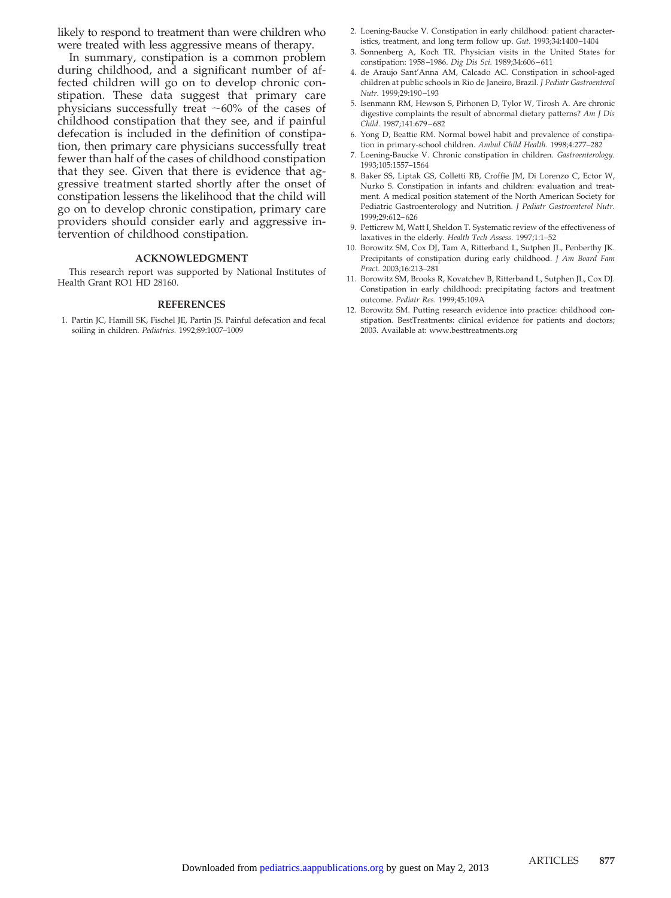likely to respond to treatment than were children who were treated with less aggressive means of therapy.

In summary, constipation is a common problem during childhood, and a significant number of affected children will go on to develop chronic constipation. These data suggest that primary care physicians successfully treat  $~60\%$  of the cases of childhood constipation that they see, and if painful defecation is included in the definition of constipation, then primary care physicians successfully treat fewer than half of the cases of childhood constipation that they see. Given that there is evidence that aggressive treatment started shortly after the onset of constipation lessens the likelihood that the child will go on to develop chronic constipation, primary care providers should consider early and aggressive intervention of childhood constipation.

#### **ACKNOWLEDGMENT**

This research report was supported by National Institutes of Health Grant RO1 HD 28160.

#### **REFERENCES**

1. Partin JC, Hamill SK, Fischel JE, Partin JS. Painful defecation and fecal soiling in children. *Pediatrics.* 1992;89:1007–1009

- 2. Loening-Baucke V. Constipation in early childhood: patient characteristics, treatment, and long term follow up. *Gut.* 1993;34:1400 –1404
- 3. Sonnenberg A, Koch TR. Physician visits in the United States for constipation: 1958 –1986. *Dig Dis Sci.* 1989;34:606 – 611
- 4. de Araujo Sant'Anna AM, Calcado AC. Constipation in school-aged children at public schools in Rio de Janeiro, Brazil. *J Pediatr Gastroenterol Nutr.* 1999;29:190 –193
- 5. Isenmann RM, Hewson S, Pirhonen D, Tylor W, Tirosh A. Are chronic digestive complaints the result of abnormal dietary patterns? *Am J Dis Child.* 1987;141:679 – 682
- 6. Yong D, Beattie RM. Normal bowel habit and prevalence of constipation in primary-school children. *Ambul Child Health.* 1998;4:277–282
- 7. Loening-Baucke V. Chronic constipation in children. *Gastroenterology.* 1993;105:1557–1564
- 8. Baker SS, Liptak GS, Colletti RB, Croffie JM, Di Lorenzo C, Ector W, Nurko S. Constipation in infants and children: evaluation and treatment. A medical position statement of the North American Society for Pediatric Gastroenterology and Nutrition. *J Pediatr Gastroenterol Nutr.* 1999;29:612– 626
- 9. Petticrew M, Watt I, Sheldon T. Systematic review of the effectiveness of laxatives in the elderly. *Health Tech Assess.* 1997;1:1–52
- 10. Borowitz SM, Cox DJ, Tam A, Ritterband L, Sutphen JL, Penberthy JK. Precipitants of constipation during early childhood. *J Am Board Fam Pract.* 2003;16:213–281
- 11. Borowitz SM, Brooks R, Kovatchev B, Ritterband L, Sutphen JL, Cox DJ. Constipation in early childhood: precipitating factors and treatment outcome. *Pediatr Res.* 1999;45:109A
- 12. Borowitz SM. Putting research evidence into practice: childhood constipation. BestTreatments: clinical evidence for patients and doctors; 2003. Available at: www.besttreatments.org